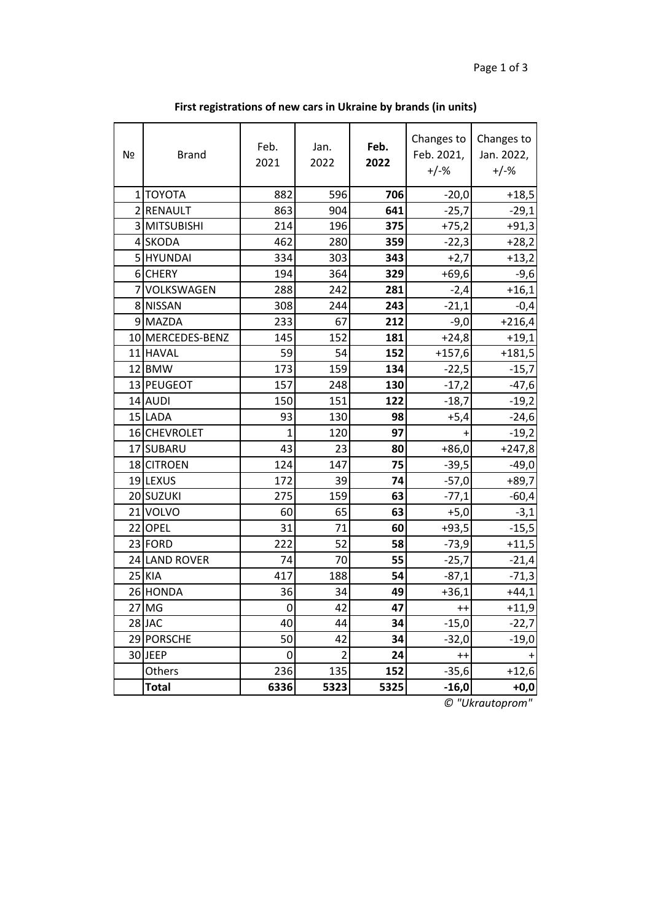| Nº | <b>Brand</b>     | Feb.<br>2021   | Jan.<br>2022   | Feb.<br>2022 | Changes to<br>Feb. 2021,<br>$+/-%$ | Changes to<br>Jan. 2022,<br>$+/-%$ |
|----|------------------|----------------|----------------|--------------|------------------------------------|------------------------------------|
|    | 1 TOYOTA         | 882            | 596            | 706          | $-20,0$                            | $+18,5$                            |
|    | 2 RENAULT        | 863            | 904            | 641          | $-25,7$                            | $-29,1$                            |
|    | 3 MITSUBISHI     | 214            | 196            | 375          | $+75,2$                            | $+91,3$                            |
|    | 4 SKODA          | 462            | 280            | 359          | $-22,3$                            | $+28,2$                            |
|    | 5 HYUNDAI        | 334            | 303            | 343          | $+2,7$                             | $+13,2$                            |
|    | 6 CHERY          | 194            | 364            | 329          | $+69,6$                            | $-9,6$                             |
|    | 7 VOLKSWAGEN     | 288            | 242            | 281          | $-2,4$                             | $+16,1$                            |
|    | 8 NISSAN         | 308            | 244            | 243          | $-21,1$                            | $-0,4$                             |
|    | 9 MAZDA          | 233            | 67             | 212          | $-9,0$                             | $+216,4$                           |
|    | 10 MERCEDES-BENZ | 145            | 152            | 181          | $+24,8$                            | $+19,1$                            |
|    | 11 HAVAL         | 59             | 54             | 152          | $+157,6$                           | $+181,5$                           |
|    | 12 BMW           | 173            | 159            | 134          | $-22,5$                            | $-15,7$                            |
|    | 13 PEUGEOT       | 157            | 248            | 130          | $-17,2$                            | $-47,6$                            |
|    | 14 AUDI          | 150            | 151            | 122          | $-18,7$                            | $-19,2$                            |
|    | 15 LADA          | 93             | 130            | 98           | $+5,4$                             | $-24,6$                            |
|    | 16 CHEVROLET     | $\overline{1}$ | 120            | 97           | $+$                                | $-19,2$                            |
|    | 17 SUBARU        | 43             | 23             | 80           | $+86,0$                            | $+247,8$                           |
|    | 18 CITROEN       | 124            | 147            | 75           | $-39,5$                            | $-49,0$                            |
|    | 19 LEXUS         | 172            | 39             | 74           | $-57,0$                            | $+89,7$                            |
|    | 20 SUZUKI        | 275            | 159            | 63           | $-77,1$                            | $-60,4$                            |
|    | 21 VOLVO         | 60             | 65             | 63           | $+5,0$                             | $-3,1$                             |
|    | 22 OPEL          | 31             | 71             | 60           | $+93,5$                            | $-15,5$                            |
|    | 23 FORD          | 222            | 52             | 58           | $-73,9$                            | $+11,5$                            |
|    | 24 LAND ROVER    | 74             | 70             | 55           | $-25,7$                            | $-21,4$                            |
|    | <b>25 KIA</b>    | 417            | 188            | 54           | $-87,1$                            | $-71,3$                            |
|    | 26 HONDA         | 36             | 34             | 49           | $+36,1$                            | $+44,1$                            |
|    | 27 MG            | 0              | 42             | 47           | $^{++}$                            | $+11,9$                            |
|    | 28JAC            | 40             | 44             | 34           | $-15,0$                            | $-22,7$                            |
|    | 29 PORSCHE       | 50             | 42             | 34           | $-32,0$                            | $-19,0$                            |
|    | 30JEEP           | 0              | $\overline{2}$ | 24           | $++$                               | $+$                                |
|    | Others           | 236            | 135            | 152          | $-35,6$                            | $+12,6$                            |
|    | <b>Total</b>     | 6336           | 5323           | 5325         | $-16,0$                            | $+0,0$                             |

**First registrations of new cars in Ukraine by brands (in units)**

*© "Ukrautoprom"*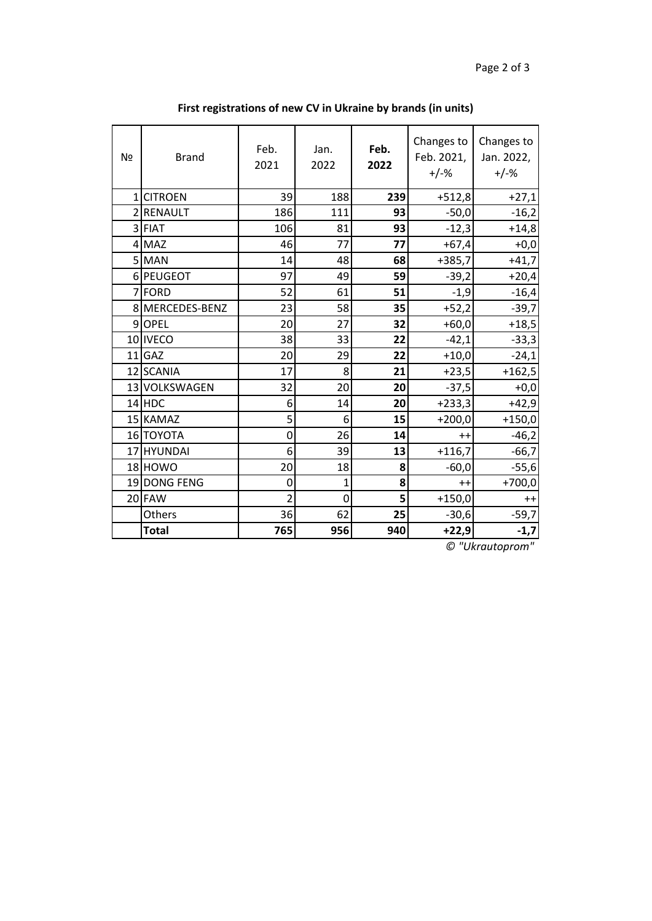| Nº       | <b>Brand</b>    | Feb.<br>2021   | Jan.<br>2022 | Feb.<br>2022 | Changes to<br>Feb. 2021,<br>$+/-%$ | Changes to<br>Jan. 2022,<br>$+/-%$ |
|----------|-----------------|----------------|--------------|--------------|------------------------------------|------------------------------------|
| $1\vert$ | <b>CITROEN</b>  | 39             | 188          | 239          | $+512,8$                           | $+27,1$                            |
|          | 2 RENAULT       | 186            | 111          | 93           | $-50,0$                            | $-16,2$                            |
|          | 3 FIAT          | 106            | 81           | 93           | $-12,3$                            | $+14,8$                            |
|          | $4$ MAZ         | 46             | 77           | 77           | $+67,4$                            | $+0,0$                             |
|          | 5 MAN           | 14             | 48           | 68           | $+385,7$                           | $+41,7$                            |
|          | 6 PEUGEOT       | 97             | 49           | 59           | $-39,2$                            | $+20,4$                            |
|          | 7FORD           | 52             | 61           | 51           | $-1,9$                             | $-16,4$                            |
|          | 8 MERCEDES-BENZ | 23             | 58           | 35           | $+52,2$                            | $-39,7$                            |
|          | 9OPEL           | 20             | 27           | 32           | $+60,0$                            | $+18,5$                            |
|          | 10 IVECO        | 38             | 33           | 22           | $-42,1$                            | $-33,3$                            |
|          | $11$ GAZ        | 20             | 29           | 22           | $+10,0$                            | $-24,1$                            |
|          | 12 SCANIA       | 17             | 8            | 21           | $+23,5$                            | $+162,5$                           |
|          | 13 VOLKSWAGEN   | 32             | 20           | 20           | $-37,5$                            | $+0,0$                             |
|          | $14$ HDC        | 6              | 14           | 20           | $+233,3$                           | $+42,9$                            |
|          | 15 KAMAZ        | 5              | 6            | 15           | $+200,0$                           | $+150,0$                           |
|          | 16 TOYOTA       | $\mathbf 0$    | 26           | 14           | $++$                               | $-46,2$                            |
|          | 17 HYUNDAI      | 6              | 39           | 13           | $+116,7$                           | $-66,7$                            |
|          | 18 HOWO         | 20             | 18           | 8            | $-60,0$                            | $-55,6$                            |
|          | 19 DONG FENG    | 0              | 1            | 8            | $++$                               | $+700,0$                           |
|          | 20 FAW          | $\overline{2}$ | 0            | 5            | $+150,0$                           | $++$                               |
|          | Others          | 36             | 62           | 25           | $-30,6$                            | $-59,7$                            |
|          | <b>Total</b>    | 765            | 956          | 940          | $+22,9$                            | $-1,7$                             |

**First registrations of new CV in Ukraine by brands (in units)**

*© "Ukrautoprom"*